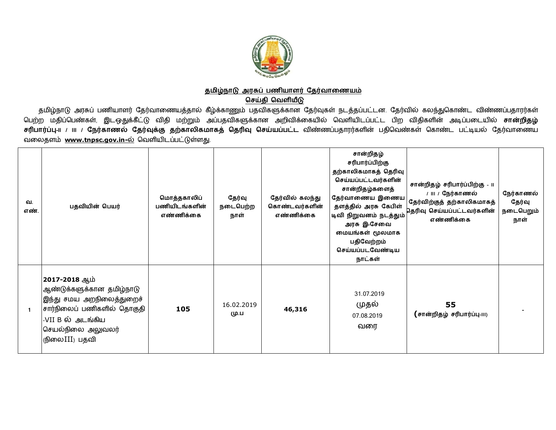

## <u>தமிழ்நாடு அரசுப் பணியாளர் தேர்வாணையம்</u> <u>செய்தி வெளியீடு</u>

தமிழ்நாடு அரசுப் பணியாளர் தேர்வாணையத்தால் கீழ்க்காணும் பதவிகளுக்கான தேர்வுகள் நடத்தப்பட்டன. தேர்வில் கலந்துகொண்ட விண்ணப்பதாரர்கள் பெற்ற மதிப்பெண்கள், இடஒதுக்கீட்டு விதி மற்றும் அப்பதவிகளுக்கான அறிவிக்கையில் வெளியிடப்பட்ட பிற விதிகளின் அடிப்படையில் **சான்றிதழ்** சரிபார்ப்பு-ய / III / நேர்காணல் தேர்வுக்கு தற்காலிகமாகத் தெரிவு செய்யப்பட்ட விண்ணப்பதாரர்களின் பதிவெண்கள் கொண்ட பட்டியல் தேர்வாணைய வலைதளம் [www.tnpsc.gov.in-](http://www.tnpsc.gov.in-)ல் வெளியிடப்பட்டுள்ளது.

| வ.<br>எண்.     | பதவியின் பெயர்                                                                                                                                                    | மொத்தகாலிப்<br>பணியிடங்களின்<br>எண்ணிக்கை | தேர்வு<br>நடைபெற்ற<br>நாள் | தேர்வில் கலந்து<br>கொண்டவர்களின்<br>எண்ணிக்கை | சான்றிதழ்<br>சரிபார்ப்பிற்கு<br>தற்காலிகமாகத் தெரிவு<br>செய்யப்பட்டவர்களின்<br>சான்றிதழ்களைத்<br>தேர்வாணைய இணைய<br>தளத்தில் அரசு கேபிள்<br>டிவி நிறுவனம் நடத்தும்<br>அரசு இ-சேவை<br>மையங்கள் மூலமாக<br>பதிவேற்றம்<br>செய்யப்படவேண்டிய<br>நாட்கள் | சான்றிதழ் சரிபார்ப்பிற்கு - 11<br>/ III / நேர்காணல்<br>தேர்விற்குத் தற்காலிகமாகத்<br>தெரிவு செய்யப்பட்டவர்களின்<br>எண்ணிக்கை | நேர்காணல்<br>தேர்வு<br>நடைபெறும்<br>நாள் |
|----------------|-------------------------------------------------------------------------------------------------------------------------------------------------------------------|-------------------------------------------|----------------------------|-----------------------------------------------|--------------------------------------------------------------------------------------------------------------------------------------------------------------------------------------------------------------------------------------------------|------------------------------------------------------------------------------------------------------------------------------|------------------------------------------|
| $\overline{1}$ | 2017-2018 ஆம்<br>ஆண்டுக்களுக்கான தமிழ்நாடு<br>இந்து சமய அறநிலைத்துறைச்<br>சார்நிலைப் பணிகளில் தொகுதி<br>-VII B ல் அடங்கிய<br>செயல்நிலை அலுவலர்<br>ருிலை III) பதவி | 105                                       | 16.02.2019<br>மு.ப         | 46,316                                        | 31.07.2019<br>முதல்<br>07.08.2019<br>வரை                                                                                                                                                                                                         | 55<br>(சான்றிதழ் சரிபார்ப்பு-111)                                                                                            |                                          |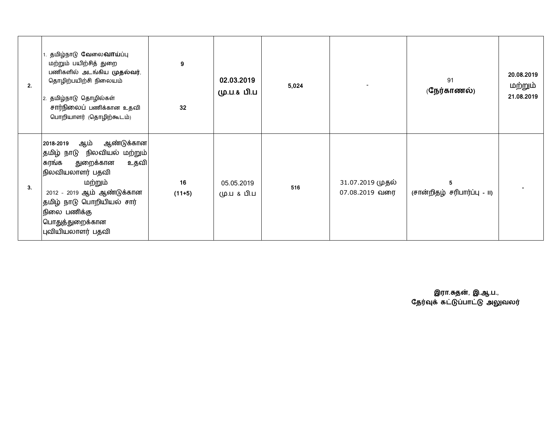| 2. | தமிழ்நாடு வேலை <b>வாய்</b> ப்பு<br>மற்றும் பயிற்சித் துறை<br>பணிகளில் அடங்கிய முதல்வர்,<br>தொழிற்பயிற்சி நிலையம்<br>தமிழ்நாடு தொழில்கள்<br>சார்நிலைப் பணிக்கான உதவி<br>பொறியாளர் (தொழிற்கூடம்)                                                  | 9<br>32        | 02.03.2019<br>மு.ப.& பி.ப | 5,024 |                                    | 91<br>(நேர்காணல்)                 | 20.08.2019<br>மற்றும்<br>21.08.2019 |
|----|-------------------------------------------------------------------------------------------------------------------------------------------------------------------------------------------------------------------------------------------------|----------------|---------------------------|-------|------------------------------------|-----------------------------------|-------------------------------------|
| 3. | ஆண்டுக்கான <br>ஆம்<br>2018-2019<br>தமிழ் நாடு நிலவியல் மற்றும் <br>உதவி<br>கரங்க<br>துறைக்கான<br>நிலவியலாளர் பதவி<br>மற்றும்<br>2012 - 2019 ஆம் ஆண்டுக்கான<br>தமிழ் நாடு பொறியியல் சார்<br>நிலை பணிக்கு<br>பொதுத்துறைக்கான<br>புவியியலாளர் பதவி | 16<br>$(11+5)$ | 05.05.2019<br>மு.ப & பி.ப | 516   | 31.07.2019 முதல்<br>07.08.2019 வரை | 5<br>(சான்றிதழ் சரிபார்ப்பு - ၊၊) |                                     |

 **இரா.த}, இ.ஆ.ப.,** தேரவுக் கட்டுப்பாட்டு அலுவலர்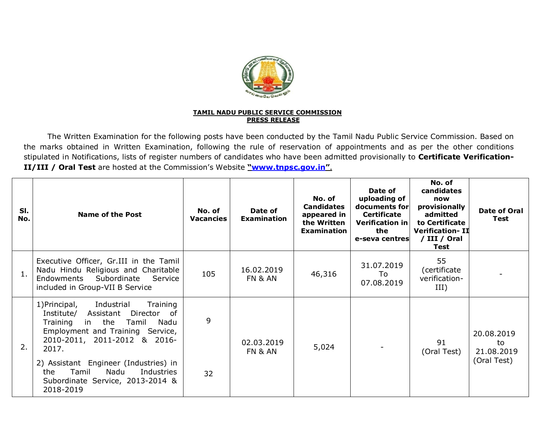

## **TAMIL NADU PUBLIC SERVICE COMMISSION PRESS RELEASE**

The Written Examination for the following posts have been conducted by the Tamil Nadu Public Service Commission. Based on the marks obtained in Written Examination, following the rule of reservation of appointments and as per the other conditions stipulated in Notifications, lists of register numbers of candidates who have been admitted provisionally to **Certificate Verification-II/III / Oral Test** are hosted at the Commission's Website **"[www.tnpsc.gov.in"](http://www.tnpsc.gov.in)**.

| SI.<br>No. | <b>Name of the Post</b>                                                                                                                                                                                                                                                                                                               | No. of<br><b>Vacancies</b> | Date of<br><b>Examination</b> | No. of<br><b>Candidates</b><br>appeared in<br>the Written<br><b>Examination</b> | Date of<br>uploading of<br>documents for<br>Certificate<br><b>Verification in</b><br>the<br>e-seva centres | No. of<br>candidates<br>now<br>provisionally<br>admitted<br>to Certificate<br><b>Verification-II</b><br>/ III / Oral<br>Test | Date of Oral<br>Test                          |
|------------|---------------------------------------------------------------------------------------------------------------------------------------------------------------------------------------------------------------------------------------------------------------------------------------------------------------------------------------|----------------------------|-------------------------------|---------------------------------------------------------------------------------|------------------------------------------------------------------------------------------------------------|------------------------------------------------------------------------------------------------------------------------------|-----------------------------------------------|
| 1.         | Executive Officer, Gr.III in the Tamil<br>Nadu Hindu Religious and Charitable<br>Subordinate<br>Endowments<br>Service<br>included in Group-VII B Service                                                                                                                                                                              | 105                        | 16.02.2019<br>FN & AN         | 46,316                                                                          | 31.07.2019<br>To<br>07.08.2019                                                                             | 55<br>(certificate<br>verification-<br>III)                                                                                  |                                               |
| 2.         | 1) Principal,<br>Industrial<br>Training<br>Institute/<br>Assistant<br>Director of<br>Training<br>in the<br>Tamil<br>Nadu<br>Employment and Training Service,<br>2010-2011, 2011-2012 & 2016-<br>2017.<br>2) Assistant Engineer (Industries) in<br>Tamil<br>Nadu<br>Industries<br>the<br>Subordinate Service, 2013-2014 &<br>2018-2019 | 9<br>32                    | 02.03.2019<br>FN & AN         | 5,024                                                                           |                                                                                                            | 91<br>(Oral Test)                                                                                                            | 20.08.2019<br>to<br>21.08.2019<br>(Oral Test) |